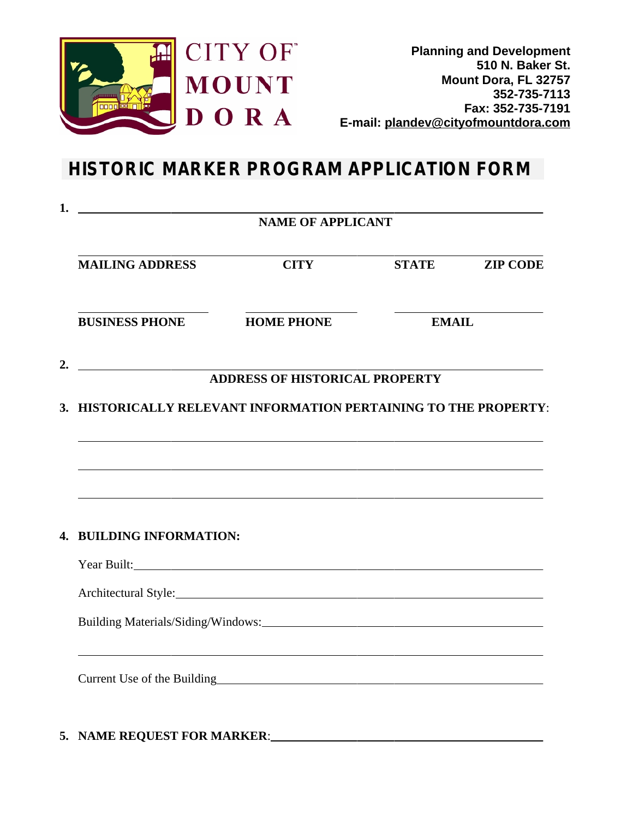

**Planning and Development 510 N. Baker St. Mount Dora, FL 32757 352-735-7113 Fax: 352-735-7191 E-mail: plandev@cityofmountdora.com**

## **HISTORIC MARKER PROGRAM APPLICATION FORM**

| 1.<br><u> 1990 - Johann Barbara, martin amerikan ba</u><br><b>NAME OF APPLICANT</b> |                                                                                                                                                                                                                                |              |                 |
|-------------------------------------------------------------------------------------|--------------------------------------------------------------------------------------------------------------------------------------------------------------------------------------------------------------------------------|--------------|-----------------|
| <b>MAILING ADDRESS</b>                                                              | <b>CITY</b>                                                                                                                                                                                                                    | <b>STATE</b> | <b>ZIP CODE</b> |
| <b>BUSINESS PHONE</b>                                                               | <b>HOME PHONE</b>                                                                                                                                                                                                              | <b>EMAIL</b> |                 |
| 2.                                                                                  | <b>ADDRESS OF HISTORICAL PROPERTY</b>                                                                                                                                                                                          |              |                 |
|                                                                                     | 3. HISTORICALLY RELEVANT INFORMATION PERTAINING TO THE PROPERTY:                                                                                                                                                               |              |                 |
|                                                                                     | ,我们也不能在这里,我们也不能在这里的时候,我们也不能会不能会不能会不能会不能会不能会不能会不能会。<br>第2012章 我们的时候,我们的时候,我们的时候,我们的时候,我们的时候,我们的时候,我们的时候,我们的时候,我们的时候,我们的时候,我们的时候,我们的时候,我                                                                                         |              |                 |
|                                                                                     |                                                                                                                                                                                                                                |              |                 |
| 4. BUILDING INFORMATION:                                                            |                                                                                                                                                                                                                                |              |                 |
|                                                                                     | Year Built:                                                                                                                                                                                                                    |              |                 |
|                                                                                     | Architectural Style: 2008 and 2008 and 2008 and 2008 and 2008 and 2008 and 2008 and 2008 and 2008 and 2008 and 2008 and 2008 and 2008 and 2008 and 2008 and 2008 and 2008 and 2008 and 2008 and 2008 and 2008 and 2008 and 200 |              |                 |
|                                                                                     |                                                                                                                                                                                                                                |              |                 |
|                                                                                     | Current Use of the Building<br><u>Example 2014</u>                                                                                                                                                                             |              |                 |
|                                                                                     |                                                                                                                                                                                                                                |              |                 |

### **5. NAME REQUEST FOR MARKER**: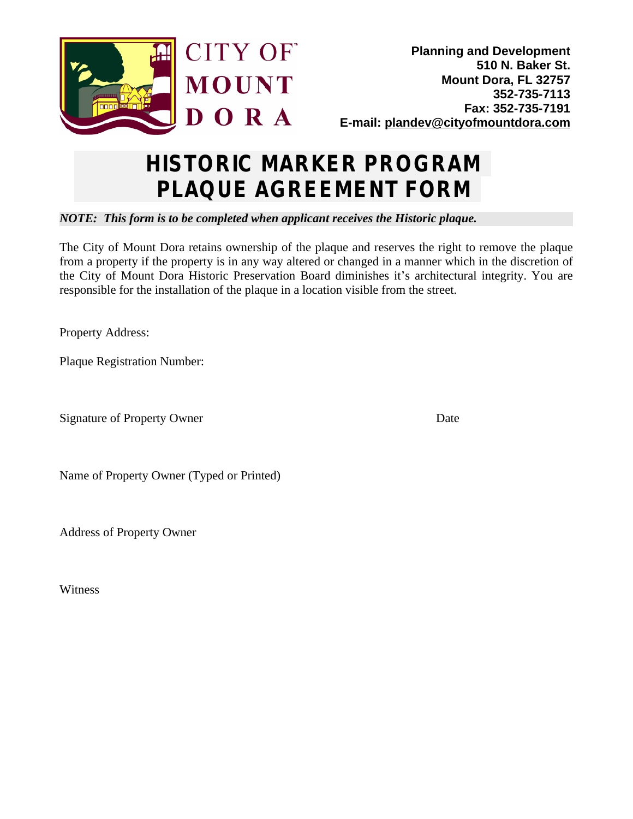

# **HISTORIC MARKER PROGRAM PLAQUE AGREEMENT FORM**

### *NOTE: This form is to be completed when applicant receives the Historic plaque.*

The City of Mount Dora retains ownership of the plaque and reserves the right to remove the plaque from a property if the property is in any way altered or changed in a manner which in the discretion of the City of Mount Dora Historic Preservation Board diminishes it's architectural integrity. You are responsible for the installation of the plaque in a location visible from the street.

Property Address:

Plaque Registration Number:

Signature of Property Owner Date

Name of Property Owner (Typed or Printed)

Address of Property Owner

Witness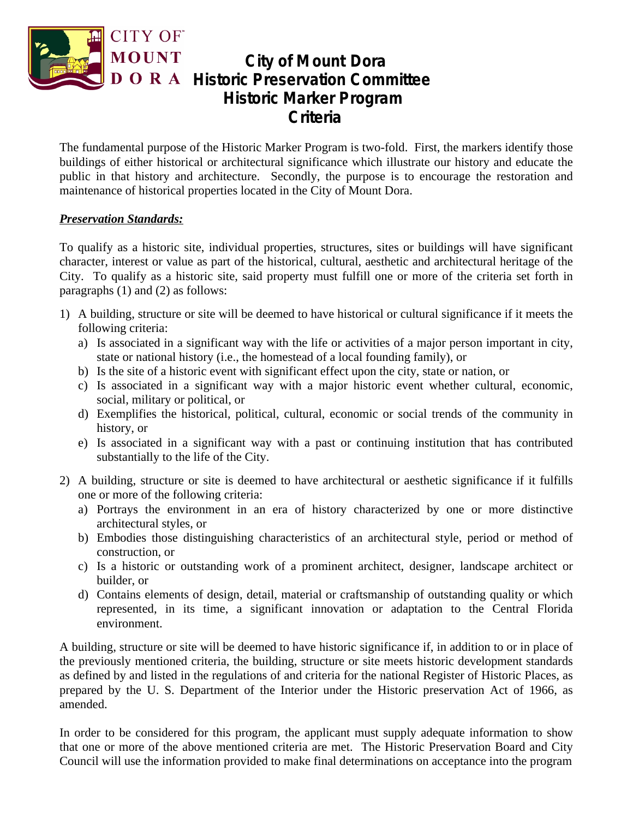

### **City of Mount Dora D O R A Historic Preservation Committee Historic Marker Program Criteria**

The fundamental purpose of the Historic Marker Program is two-fold. First, the markers identify those buildings of either historical or architectural significance which illustrate our history and educate the public in that history and architecture. Secondly, the purpose is to encourage the restoration and maintenance of historical properties located in the City of Mount Dora.

#### *Preservation Standards:*

To qualify as a historic site, individual properties, structures, sites or buildings will have significant character, interest or value as part of the historical, cultural, aesthetic and architectural heritage of the City. To qualify as a historic site, said property must fulfill one or more of the criteria set forth in paragraphs (1) and (2) as follows:

- 1) A building, structure or site will be deemed to have historical or cultural significance if it meets the following criteria:
	- a) Is associated in a significant way with the life or activities of a major person important in city, state or national history (i.e., the homestead of a local founding family), or
	- b) Is the site of a historic event with significant effect upon the city, state or nation, or
	- c) Is associated in a significant way with a major historic event whether cultural, economic, social, military or political, or
	- d) Exemplifies the historical, political, cultural, economic or social trends of the community in history, or
	- e) Is associated in a significant way with a past or continuing institution that has contributed substantially to the life of the City.
- 2) A building, structure or site is deemed to have architectural or aesthetic significance if it fulfills one or more of the following criteria:
	- a) Portrays the environment in an era of history characterized by one or more distinctive architectural styles, or
	- b) Embodies those distinguishing characteristics of an architectural style, period or method of construction, or
	- c) Is a historic or outstanding work of a prominent architect, designer, landscape architect or builder, or
	- d) Contains elements of design, detail, material or craftsmanship of outstanding quality or which represented, in its time, a significant innovation or adaptation to the Central Florida environment.

A building, structure or site will be deemed to have historic significance if, in addition to or in place of the previously mentioned criteria, the building, structure or site meets historic development standards as defined by and listed in the regulations of and criteria for the national Register of Historic Places, as prepared by the U. S. Department of the Interior under the Historic preservation Act of 1966, as amended.

In order to be considered for this program, the applicant must supply adequate information to show that one or more of the above mentioned criteria are met. The Historic Preservation Board and City Council will use the information provided to make final determinations on acceptance into the program